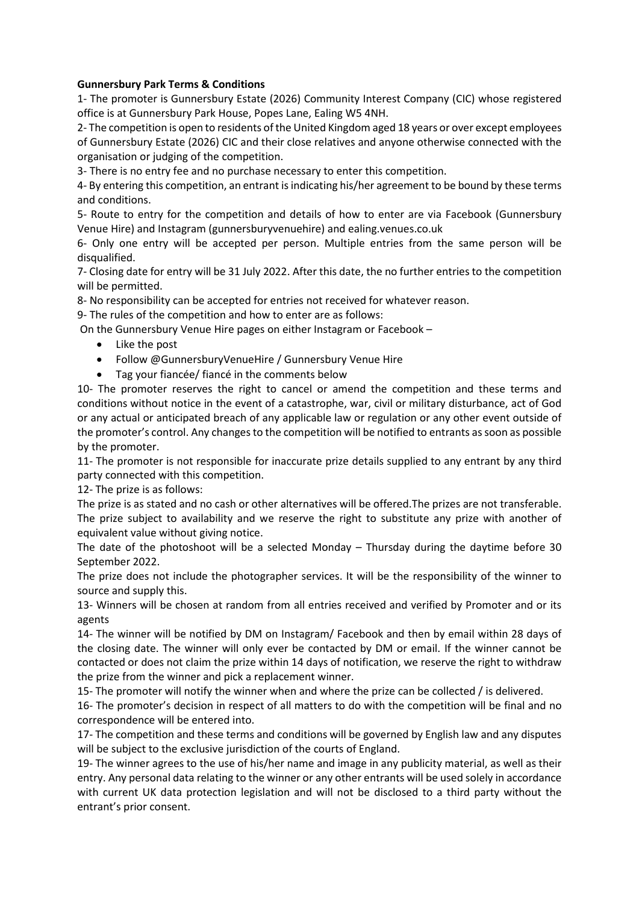## **Gunnersbury Park Terms & Conditions**

1- The promoter is Gunnersbury Estate (2026) Community Interest Company (CIC) whose registered office is at Gunnersbury Park House, Popes Lane, Ealing W5 4NH.

2- The competition is open to residents of the United Kingdom aged 18 years or over except employees of Gunnersbury Estate (2026) CIC and their close relatives and anyone otherwise connected with the organisation or judging of the competition.

3- There is no entry fee and no purchase necessary to enter this competition.

4- By entering this competition, an entrant is indicating his/her agreement to be bound by these terms and conditions.

5- Route to entry for the competition and details of how to enter are via Facebook (Gunnersbury Venue Hire) and Instagram (gunnersburyvenuehire) and ealing.venues.co.uk

6- Only one entry will be accepted per person. Multiple entries from the same person will be disqualified.

7- Closing date for entry will be 31 July 2022. After this date, the no further entries to the competition will be permitted.

8- No responsibility can be accepted for entries not received for whatever reason.

9- The rules of the competition and how to enter are as follows:

On the Gunnersbury Venue Hire pages on either Instagram or Facebook –

- Like the post
- Follow @GunnersburyVenueHire / Gunnersbury Venue Hire
- Tag your fiancée/ fiancé in the comments below

10- The promoter reserves the right to cancel or amend the competition and these terms and conditions without notice in the event of a catastrophe, war, civil or military disturbance, act of God or any actual or anticipated breach of any applicable law or regulation or any other event outside of the promoter's control. Any changes to the competition will be notified to entrants as soon as possible by the promoter.

11- The promoter is not responsible for inaccurate prize details supplied to any entrant by any third party connected with this competition.

12- The prize is as follows:

The prize is as stated and no cash or other alternatives will be offered.The prizes are not transferable. The prize subject to availability and we reserve the right to substitute any prize with another of equivalent value without giving notice.

The date of the photoshoot will be a selected Monday – Thursday during the daytime before 30 September 2022.

The prize does not include the photographer services. It will be the responsibility of the winner to source and supply this.

13- Winners will be chosen at random from all entries received and verified by Promoter and or its agents

14- The winner will be notified by DM on Instagram/ Facebook and then by email within 28 days of the closing date. The winner will only ever be contacted by DM or email. If the winner cannot be contacted or does not claim the prize within 14 days of notification, we reserve the right to withdraw the prize from the winner and pick a replacement winner.

15- The promoter will notify the winner when and where the prize can be collected / is delivered.

16- The promoter's decision in respect of all matters to do with the competition will be final and no correspondence will be entered into.

17- The competition and these terms and conditions will be governed by English law and any disputes will be subject to the exclusive jurisdiction of the courts of England.

19- The winner agrees to the use of his/her name and image in any publicity material, as well as their entry. Any personal data relating to the winner or any other entrants will be used solely in accordance with current UK data protection legislation and will not be disclosed to a third party without the entrant's prior consent.